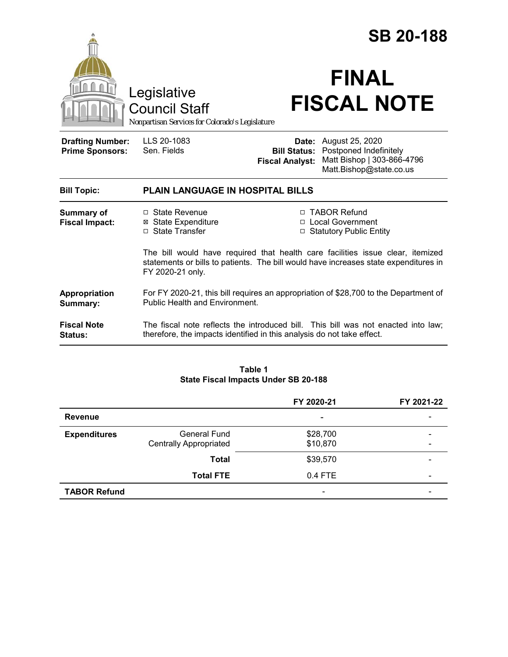|                                                                                        |                                                                                                                                                                                            | <b>SB 20-188</b>                              |                                                                                                                 |  |  |
|----------------------------------------------------------------------------------------|--------------------------------------------------------------------------------------------------------------------------------------------------------------------------------------------|-----------------------------------------------|-----------------------------------------------------------------------------------------------------------------|--|--|
| Legislative<br><b>Council Staff</b><br>Nonpartisan Services for Colorado's Legislature |                                                                                                                                                                                            | <b>FINAL</b><br><b>FISCAL NOTE</b>            |                                                                                                                 |  |  |
| <b>Drafting Number:</b><br><b>Prime Sponsors:</b>                                      | LLS 20-1083<br>Sen. Fields                                                                                                                                                                 | <b>Bill Status:</b><br><b>Fiscal Analyst:</b> | <b>Date:</b> August 25, 2020<br>Postponed Indefinitely<br>Matt Bishop   303-866-4796<br>Matt.Bishop@state.co.us |  |  |
| <b>Bill Topic:</b>                                                                     | <b>PLAIN LANGUAGE IN HOSPITAL BILLS</b>                                                                                                                                                    |                                               |                                                                                                                 |  |  |
| Summary of<br><b>Fiscal Impact:</b>                                                    | □ State Revenue<br><b>⊠</b> State Expenditure<br>□ State Transfer                                                                                                                          |                                               | □ TABOR Refund<br>□ Local Government<br>□ Statutory Public Entity                                               |  |  |
|                                                                                        | The bill would have required that health care facilities issue clear, itemized<br>statements or bills to patients. The bill would have increases state expenditures in<br>FY 2020-21 only. |                                               |                                                                                                                 |  |  |
| Appropriation<br>Summary:                                                              | For FY 2020-21, this bill requires an appropriation of \$28,700 to the Department of<br><b>Public Health and Environment.</b>                                                              |                                               |                                                                                                                 |  |  |
| <b>Fiscal Note</b><br><b>Status:</b>                                                   | The fiscal note reflects the introduced bill. This bill was not enacted into law;<br>therefore, the impacts identified in this analysis do not take effect.                                |                                               |                                                                                                                 |  |  |
|                                                                                        |                                                                                                                                                                                            |                                               |                                                                                                                 |  |  |

#### **Table 1 State Fiscal Impacts Under SB 20-188**

|                     |                                                      | FY 2020-21           | FY 2021-22               |
|---------------------|------------------------------------------------------|----------------------|--------------------------|
| <b>Revenue</b>      |                                                      | ۰                    |                          |
| <b>Expenditures</b> | <b>General Fund</b><br><b>Centrally Appropriated</b> | \$28,700<br>\$10,870 |                          |
|                     | <b>Total</b>                                         | \$39,570             |                          |
|                     | <b>Total FTE</b>                                     | $0.4$ FTE            | $\overline{\phantom{0}}$ |
| <b>TABOR Refund</b> |                                                      | -                    |                          |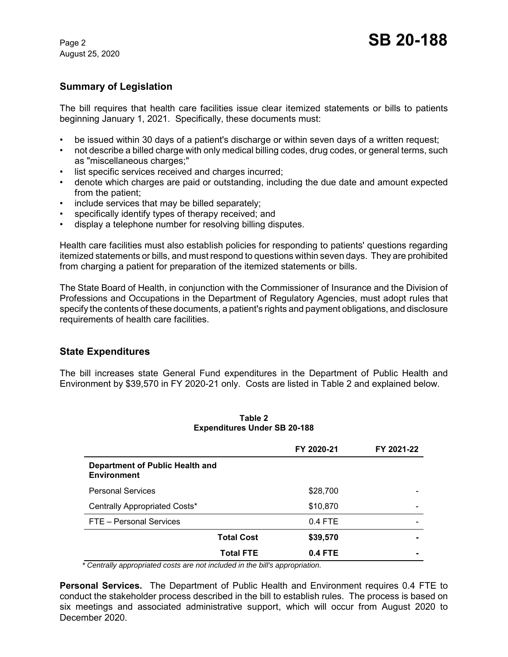August 25, 2020

# **Summary of Legislation**

The bill requires that health care facilities issue clear itemized statements or bills to patients beginning January 1, 2021. Specifically, these documents must:

- be issued within 30 days of a patient's discharge or within seven days of a written request;
- not describe a billed charge with only medical billing codes, drug codes, or general terms, such as "miscellaneous charges;"
- list specific services received and charges incurred;
- denote which charges are paid or outstanding, including the due date and amount expected from the patient;
- include services that may be billed separately;
- specifically identify types of therapy received; and
- display a telephone number for resolving billing disputes.

Health care facilities must also establish policies for responding to patients' questions regarding itemized statements or bills, and must respond to questions within seven days. They are prohibited from charging a patient for preparation of the itemized statements or bills.

The State Board of Health, in conjunction with the Commissioner of Insurance and the Division of Professions and Occupations in the Department of Regulatory Agencies, must adopt rules that specify the contents of these documents, a patient's rights and payment obligations, and disclosure requirements of health care facilities.

## **State Expenditures**

The bill increases state General Fund expenditures in the Department of Public Health and Environment by \$39,570 in FY 2020-21 only. Costs are listed in Table 2 and explained below.

|                                                       | FY 2020-21                    | FY 2021-22 |
|-------------------------------------------------------|-------------------------------|------------|
| Department of Public Health and<br><b>Environment</b> |                               |            |
| <b>Personal Services</b>                              | \$28,700                      |            |
| Centrally Appropriated Costs*                         | \$10,870                      |            |
| FTE - Personal Services                               | $0.4$ FTE                     |            |
|                                                       | <b>Total Cost</b><br>\$39,570 |            |
|                                                       | <b>Total FTE</b><br>0.4 FTE   |            |

**Table 2 Expenditures Under SB 20-188**

 *\* Centrally appropriated costs are not included in the bill's appropriation.*

**Personal Services.** The Department of Public Health and Environment requires 0.4 FTE to conduct the stakeholder process described in the bill to establish rules. The process is based on six meetings and associated administrative support, which will occur from August 2020 to December 2020.